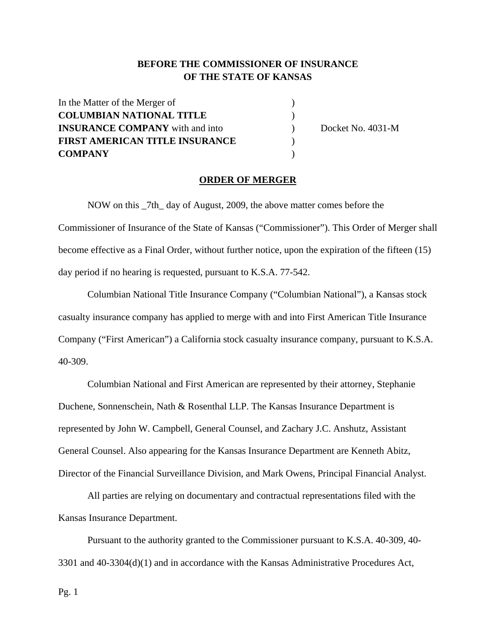## **BEFORE THE COMMISSIONER OF INSURANCE OF THE STATE OF KANSAS**

| In the Matter of the Merger of         |                   |
|----------------------------------------|-------------------|
| <b>COLUMBIAN NATIONAL TITLE</b>        |                   |
| <b>INSURANCE COMPANY</b> with and into | Docket No. 4031-M |
| <b>FIRST AMERICAN TITLE INSURANCE</b>  |                   |
| <b>COMPANY</b>                         |                   |

#### **ORDER OF MERGER**

NOW on this \_7th\_ day of August, 2009, the above matter comes before the Commissioner of Insurance of the State of Kansas ("Commissioner"). This Order of Merger shall become effective as a Final Order, without further notice, upon the expiration of the fifteen (15) day period if no hearing is requested, pursuant to K.S.A. 77-542.

Columbian National Title Insurance Company ("Columbian National"), a Kansas stock casualty insurance company has applied to merge with and into First American Title Insurance Company ("First American") a California stock casualty insurance company, pursuant to K.S.A. 40-309.

Columbian National and First American are represented by their attorney, Stephanie Duchene, Sonnenschein, Nath & Rosenthal LLP. The Kansas Insurance Department is represented by John W. Campbell, General Counsel, and Zachary J.C. Anshutz, Assistant General Counsel. Also appearing for the Kansas Insurance Department are Kenneth Abitz, Director of the Financial Surveillance Division, and Mark Owens, Principal Financial Analyst.

All parties are relying on documentary and contractual representations filed with the Kansas Insurance Department.

Pursuant to the authority granted to the Commissioner pursuant to K.S.A. 40-309, 40- 3301 and 40-3304(d)(1) and in accordance with the Kansas Administrative Procedures Act,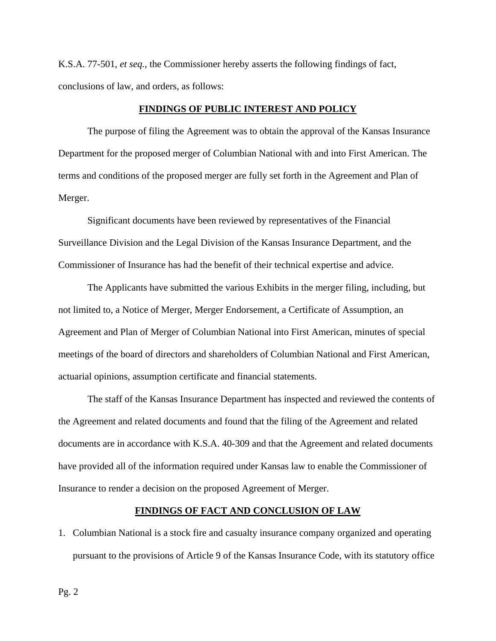K.S.A. 77-501, *et seq.,* the Commissioner hereby asserts the following findings of fact, conclusions of law, and orders, as follows:

#### **FINDINGS OF PUBLIC INTEREST AND POLICY**

The purpose of filing the Agreement was to obtain the approval of the Kansas Insurance Department for the proposed merger of Columbian National with and into First American. The terms and conditions of the proposed merger are fully set forth in the Agreement and Plan of Merger.

Significant documents have been reviewed by representatives of the Financial Surveillance Division and the Legal Division of the Kansas Insurance Department, and the Commissioner of Insurance has had the benefit of their technical expertise and advice.

The Applicants have submitted the various Exhibits in the merger filing, including, but not limited to, a Notice of Merger, Merger Endorsement, a Certificate of Assumption, an Agreement and Plan of Merger of Columbian National into First American, minutes of special meetings of the board of directors and shareholders of Columbian National and First American, actuarial opinions, assumption certificate and financial statements.

The staff of the Kansas Insurance Department has inspected and reviewed the contents of the Agreement and related documents and found that the filing of the Agreement and related documents are in accordance with K.S.A. 40-309 and that the Agreement and related documents have provided all of the information required under Kansas law to enable the Commissioner of Insurance to render a decision on the proposed Agreement of Merger.

## **FINDINGS OF FACT AND CONCLUSION OF LAW**

1. Columbian National is a stock fire and casualty insurance company organized and operating pursuant to the provisions of Article 9 of the Kansas Insurance Code, with its statutory office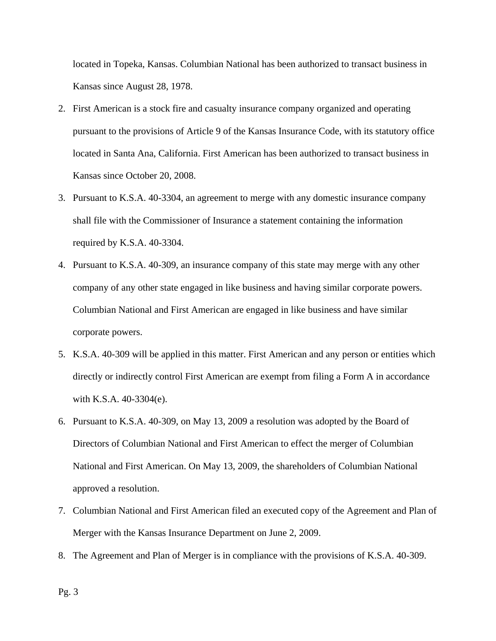located in Topeka, Kansas. Columbian National has been authorized to transact business in Kansas since August 28, 1978.

- 2. First American is a stock fire and casualty insurance company organized and operating pursuant to the provisions of Article 9 of the Kansas Insurance Code, with its statutory office located in Santa Ana, California. First American has been authorized to transact business in Kansas since October 20, 2008.
- 3. Pursuant to K.S.A. 40-3304, an agreement to merge with any domestic insurance company shall file with the Commissioner of Insurance a statement containing the information required by K.S.A. 40-3304.
- 4. Pursuant to K.S.A. 40-309, an insurance company of this state may merge with any other company of any other state engaged in like business and having similar corporate powers. Columbian National and First American are engaged in like business and have similar corporate powers.
- 5. K.S.A. 40-309 will be applied in this matter. First American and any person or entities which directly or indirectly control First American are exempt from filing a Form A in accordance with K.S.A. 40-3304(e).
- 6. Pursuant to K.S.A. 40-309, on May 13, 2009 a resolution was adopted by the Board of Directors of Columbian National and First American to effect the merger of Columbian National and First American. On May 13, 2009, the shareholders of Columbian National approved a resolution.
- 7. Columbian National and First American filed an executed copy of the Agreement and Plan of Merger with the Kansas Insurance Department on June 2, 2009.
- 8. The Agreement and Plan of Merger is in compliance with the provisions of K.S.A. 40-309.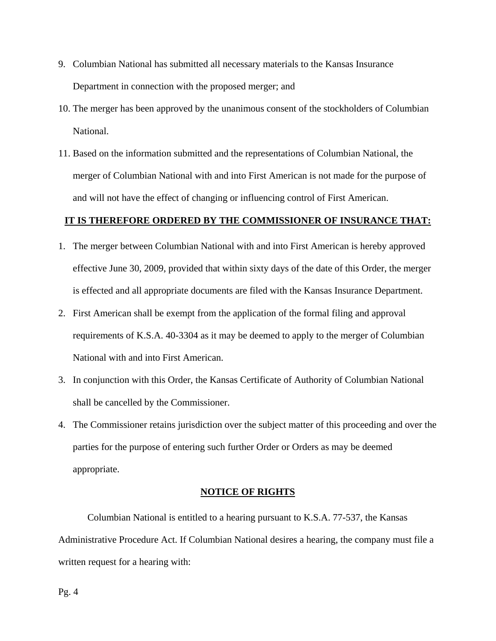- 9. Columbian National has submitted all necessary materials to the Kansas Insurance Department in connection with the proposed merger; and
- 10. The merger has been approved by the unanimous consent of the stockholders of Columbian National.
- 11. Based on the information submitted and the representations of Columbian National, the merger of Columbian National with and into First American is not made for the purpose of and will not have the effect of changing or influencing control of First American.

## **IT IS THEREFORE ORDERED BY THE COMMISSIONER OF INSURANCE THAT:**

- 1. The merger between Columbian National with and into First American is hereby approved effective June 30, 2009, provided that within sixty days of the date of this Order, the merger is effected and all appropriate documents are filed with the Kansas Insurance Department.
- 2. First American shall be exempt from the application of the formal filing and approval requirements of K.S.A. 40-3304 as it may be deemed to apply to the merger of Columbian National with and into First American.
- 3. In conjunction with this Order, the Kansas Certificate of Authority of Columbian National shall be cancelled by the Commissioner.
- 4. The Commissioner retains jurisdiction over the subject matter of this proceeding and over the parties for the purpose of entering such further Order or Orders as may be deemed appropriate.

## **NOTICE OF RIGHTS**

Columbian National is entitled to a hearing pursuant to K.S.A. 77-537, the Kansas Administrative Procedure Act. If Columbian National desires a hearing, the company must file a written request for a hearing with: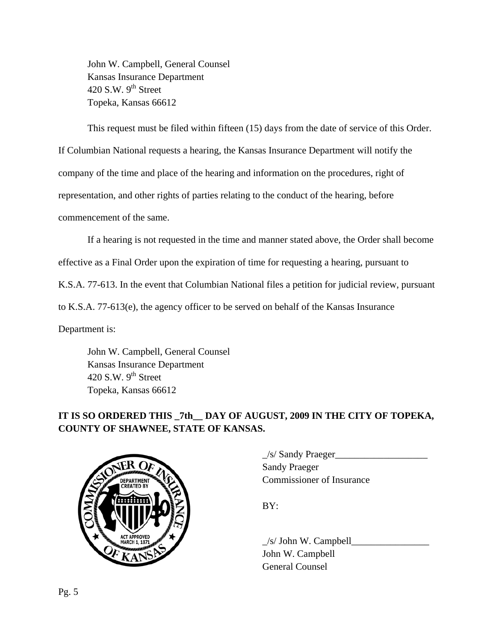John W. Campbell, General Counsel Kansas Insurance Department 420 S.W.  $9<sup>th</sup>$  Street Topeka, Kansas 66612

This request must be filed within fifteen (15) days from the date of service of this Order.

If Columbian National requests a hearing, the Kansas Insurance Department will notify the company of the time and place of the hearing and information on the procedures, right of representation, and other rights of parties relating to the conduct of the hearing, before

commencement of the same.

If a hearing is not requested in the time and manner stated above, the Order shall become effective as a Final Order upon the expiration of time for requesting a hearing, pursuant to K.S.A. 77-613. In the event that Columbian National files a petition for judicial review, pursuant to K.S.A. 77-613(e), the agency officer to be served on behalf of the Kansas Insurance Department is:

 John W. Campbell, General Counsel Kansas Insurance Department 420 S.W.  $9<sup>th</sup>$  Street Topeka, Kansas 66612

# **IT IS SO ORDERED THIS \_7th\_\_ DAY OF AUGUST, 2009 IN THE CITY OF TOPEKA, COUNTY OF SHAWNEE, STATE OF KANSAS.**



 $\angle$ s/ Sandy Praeger $\angle$  Sandy Praeger COMMISSIONER COMMISSIONER OF Insurance

 $\angle$ s/ John W. Campbell John W. Campbell General Counsel